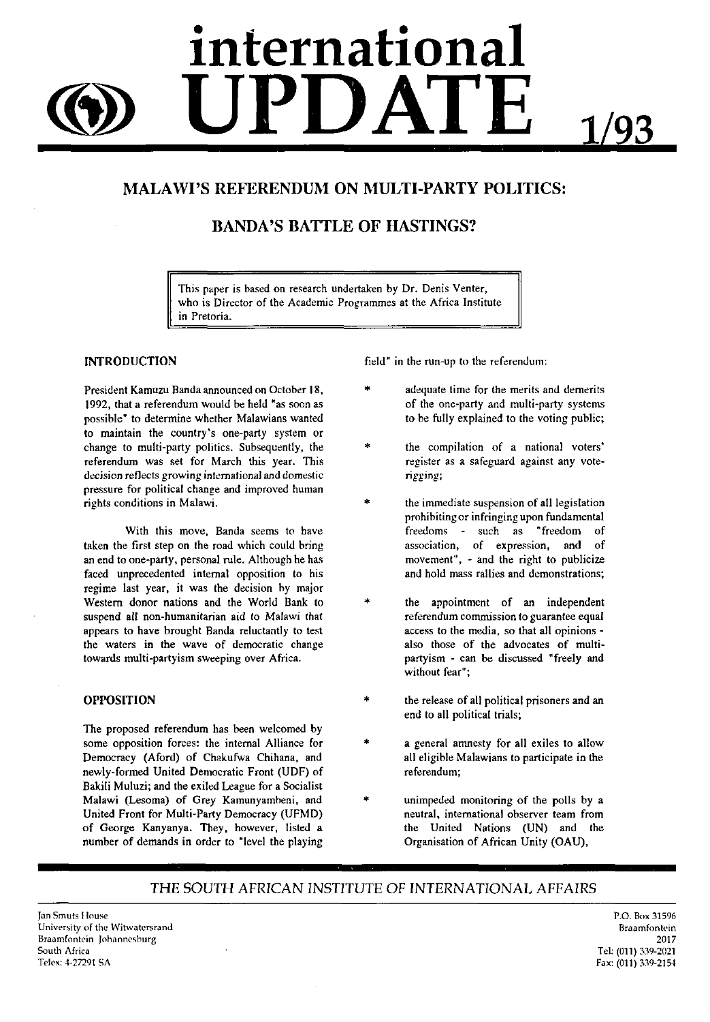# **international UPDATE** 1/93

## MALAWI'S REFERENDUM ON MULTI-PARTY POLITICS:

## BANDA'S BATTLE OF HASTINGS?

This paper is hased on research undertaken by Dr. Denis Venter, who is Director of the Academic Programmes at the Africa Institute in Pretoria.

#### **INTRODUCTION**

President Kamuzu Banda announced on October 18, 1992, that a referendum would be held "as soon as possible" to determine whether Malawians wanted to maintain the country's one-party system or change to multi-party politics. Subsequently, the referendum was set for March this year. This decision reflects growing international and domestic pressure for political change and improved human rights conditions in Malawi.

With this move, Banda seems to have taken the first step on the road which could bring an end to one-party, personal rule. Although he has faced unprecedented internal opposition to his regime last year, it was the decision by major Western donor nations and the World Bank to suspend all non-humanitarian aid to Malawi that appears to have brought Banda reluctantly to test the waters in the wave of democratic change towards multi-partyism sweeping over Africa.

#### **OPPOSITION**

The proposed referendum has been welcomed by some opposition forces: the internal Alliance for Democracy (Aford) of Chakufwa Chihana, and newly-formed United Democratic Front (UDF) of Bakili Muluzi; and the exiled League for a Socialist Malawi (Lesoma) of Grey Kamunyambeni, and United Front for Multi-Party Democracy (UFMD) of George Kanyanya. They, however, listed a number of demands in order to "level the playing field" in the run-up to the referendum:

- adequate time for the merits and demerits of the one-party and multi-party systems to be fully explained to the voting public;
- the compilation of a national voters' register as a safeguard against any voterigging;
- the immediate suspension of all legislation prohibiting or infringing upon fundamental freedoms - such as "freedom of association, of expression, and of movement", - and the right to publicize and hold mass rallies and demonstrations;
- the appointment of an independent referendum commission to guarantee equal access to the media, so that all opinions also those of the advocates of multipartyism - can be discussed "freely and without fear";
- the release of all political prisoners and an end to all political trials;
- a general amnesty for all exiles to allow all eligible Malawians to participate in the referendum;
- unimpeded monitoring of the polls by a neutral, international observer team from the United Nations (UN) and the Organisation of African Unity (OAU),

### THE SOUTH AFRICAN INSTITUTE OF INTERNATIONAL AFFAIRS

Jan Smuts House University of the Wirwatersrand Braamfontein Johannesburg South Africa Telex: 4-27291 SA

P.O. Box 31596 Braamfontein 2017 Tel: (011)339-2021 Fax: (011) 339-2154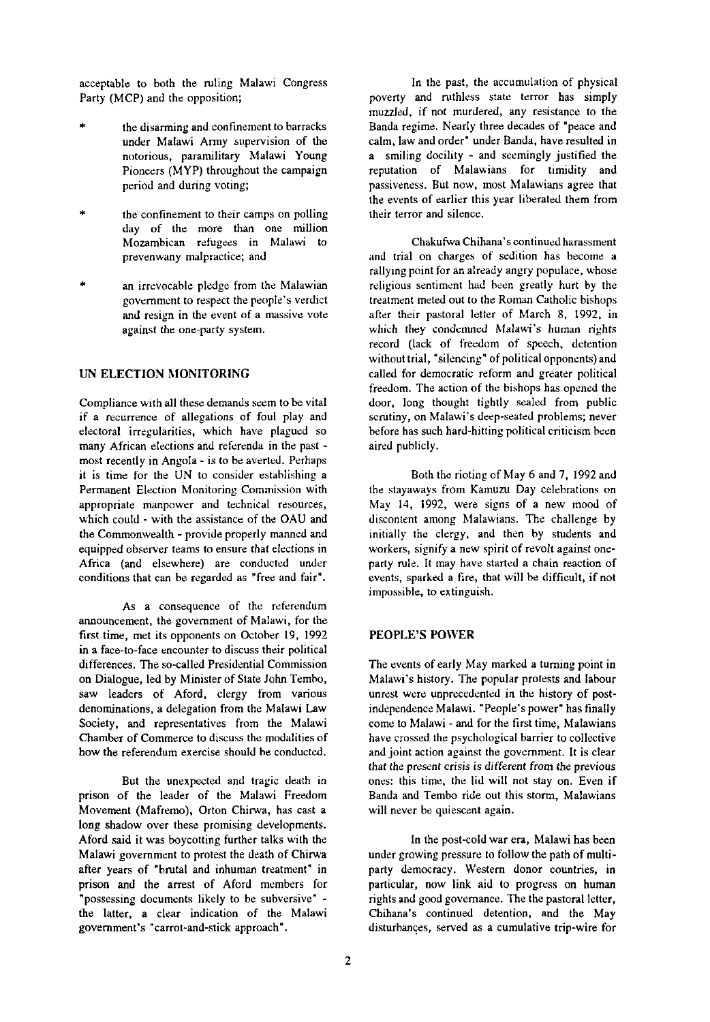acceptable to both the ruling Malawi Congress Party (MCP) and the opposition;

- the disarming and confinement to barracks under Malawi Army supervision of the notorious, paramilitary Malawi Young Pioneers (MYP) throughout the campaign period and during voting;
- the confinement to their camps on polling day of the more than one million Mozambican refugees in Malawi to prevenwany malpractice; and
- an irrevocable pledge from the Malawian government to respect the people's verdict and resign in the event of a massive vote against the one-party system.

#### UN **ELECTION MONITORING**

Compliance with all these demands seem to be vital if a recurrence of allegations of foul play and electoral irregularities, which have plagued so many African elections and referenda in the past most recently in Angola - is to be averted. Perhaps it is time for the UN to consider establishing a Permanent Election Monitoring Commission with appropriate manpower and technical resources, which could - with the assistance of the OAU and the Commonwealth - provide properly manned and equipped observer teams to ensure that elections in Africa (and elsewhere) are conducted under conditions that can be regarded as "free and fair".

As a consequence of the referendum announcement, the government of Malawi, for the first time, met its opponents on October 19, 1992 in a face-to-face encounter to discuss their political differences. The so-called Presidential Commission on Dialogue, led by Minister of State John Tembo, saw leaders of Aford, clergy from various denominations, a delegation from the Malawi Law Society, and representatives from the Malawi Chamber of Commerce to discuss the modalities of how the referendum exercise should be conducted.

But the unexpected and tragic death in prison of the leader of the Malawi Freedom Movement (Mafremo), Orton Chirwa, has cast a long shadow over these promising developments. Aford said it was boycotting further talks with the Malawi government to protest the death of Chirwa after years of "brutal and inhuman treatment" in prison and the arrest of Aford members for "possessing documents likely to be subversive" the latter, a clear indication of the Malawi government's "carrot-and-stick approach".

In the past, the accumulation of physical poverty and ruthless state terror has simply muzzled, if not murdered, any resistance to the Banda regime. Nearly three decades of "peace and calm, law and order" under Banda, have resulted in a smiling docility - and seemingly justified the reputation of Malawians for timidity and passiveness. But now, most Malawians agree that the events of earlier this year liberated them from their terror and silence.

ChakufwaChihana's continued harassment and trial on charges of sedition has become a rallying point for an already angry populace, whose religious sentiment had been greatly hurt by the treatment meted out to the Roman Catholic bishops after their pastoral letter of March 8, 1992, in which they condemned Malawi's human rights record (lack of freedom of speech, detention without trial, "silencing" of political opponents) and called for democratic reform and greater political freedom. The action of the bishops has opened the door, long thought tightly sealed from public scrutiny, on Malawi's deep-seated problems; never before has such hard-hitting political criticism been aired publicly.

Both the rioting of May 6 and 7, 1992 and the stayaways from Kamuzu Day celebrations on May 14, 1992, were signs of a new mood of discontent among Malawians. The challenge by initially the clergy, and then by students and workers, signify a new spirit of revolt against oneparty rule. It may have started a chain reaction of events, sparked a fire, that will be difficult, if not impossible, to extinguish.

#### **PEOPLE'S POWER**

The events of early May marked a turning point in Malawi's history. The popular protests and labour unrest were unprecedented in the history of postindependence Malawi. "People's power" has finally come to Malawi - and for the first time, Malawians have crossed the psychological barrier to collective and joint action against the government. It is clear that the present crisis is different from the previous ones: this time, the lid will not stay on. Even if Banda and Tembo ride out this storm, Malawians will never be quiescent again.

In the post-cold war era, Malawi has been under growing pressure to follow the path of multiparty democracy. Western donor countries, in particular, now link aid to progress on human rights and good governance. The the pastoral letter, Chihana's continued detention, and the May disturbances, served as a cumulative trip-wire for